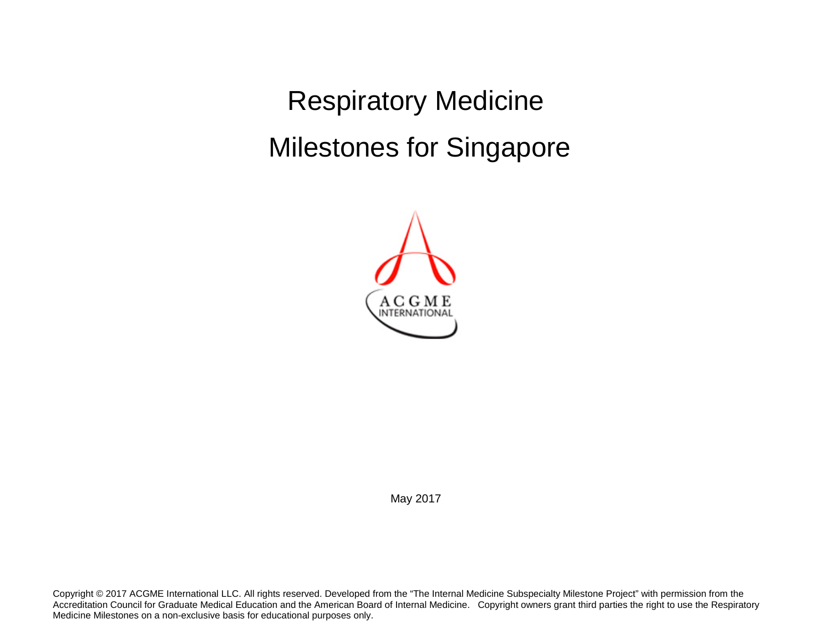Respiratory Medicine Milestones for Singapore



May 2017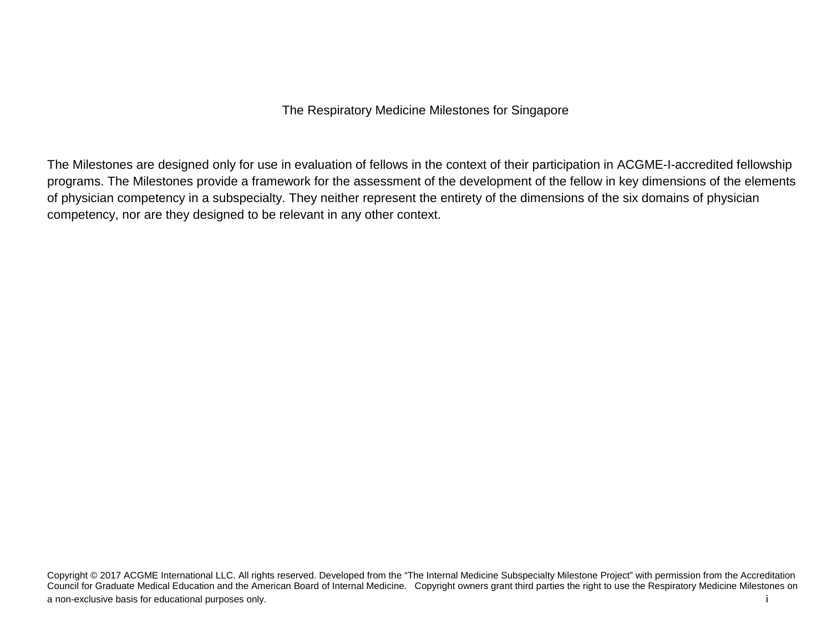The Milestones are designed only for use in evaluation of fellows in the context of their participation in ACGME-I-accredited fellowship programs. The Milestones provide a framework for the assessment of the development of the fellow in key dimensions of the elements of physician competency in a subspecialty. They neither represent the entirety of the dimensions of the six domains of physician competency, nor are they designed to be relevant in any other context.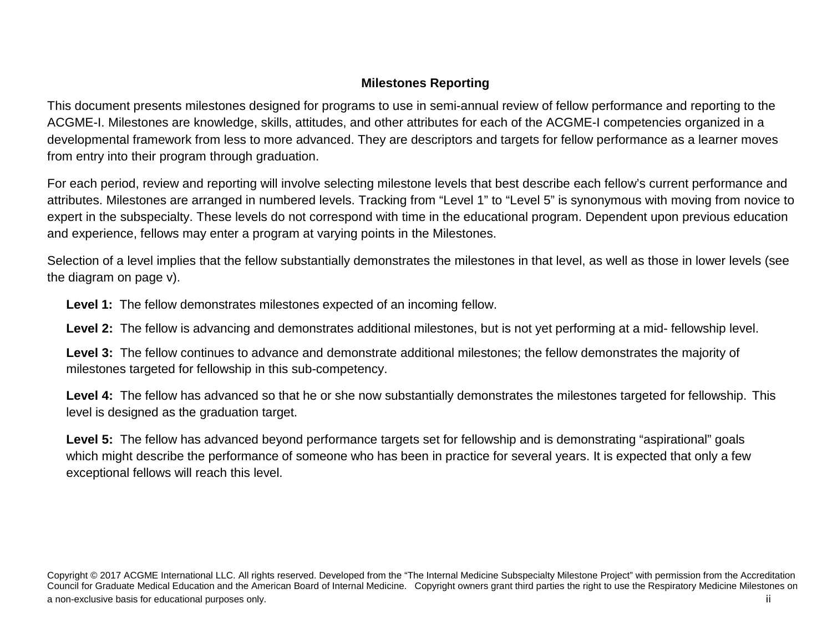## **Milestones Reporting**

This document presents milestones designed for programs to use in semi-annual review of fellow performance and reporting to the ACGME-I. Milestones are knowledge, skills, attitudes, and other attributes for each of the ACGME-I competencies organized in a developmental framework from less to more advanced. They are descriptors and targets for fellow performance as a learner moves from entry into their program through graduation.

For each period, review and reporting will involve selecting milestone levels that best describe each fellow's current performance and attributes. Milestones are arranged in numbered levels. Tracking from "Level 1" to "Level 5" is synonymous with moving from novice to expert in the subspecialty. These levels do not correspond with time in the educational program. Dependent upon previous education and experience, fellows may enter a program at varying points in the Milestones.

Selection of a level implies that the fellow substantially demonstrates the milestones in that level, as well as those in lower levels (see the diagram on page v).

**Level 1:** The fellow demonstrates milestones expected of an incoming fellow.

**Level 2:** The fellow is advancing and demonstrates additional milestones, but is not yet performing at a mid- fellowship level.

**Level 3:** The fellow continues to advance and demonstrate additional milestones; the fellow demonstrates the majority of milestones targeted for fellowship in this sub-competency.

**Level 4:** The fellow has advanced so that he or she now substantially demonstrates the milestones targeted for fellowship. This level is designed as the graduation target.

**Level 5:** The fellow has advanced beyond performance targets set for fellowship and is demonstrating "aspirational" goals which might describe the performance of someone who has been in practice for several years. It is expected that only a few exceptional fellows will reach this level.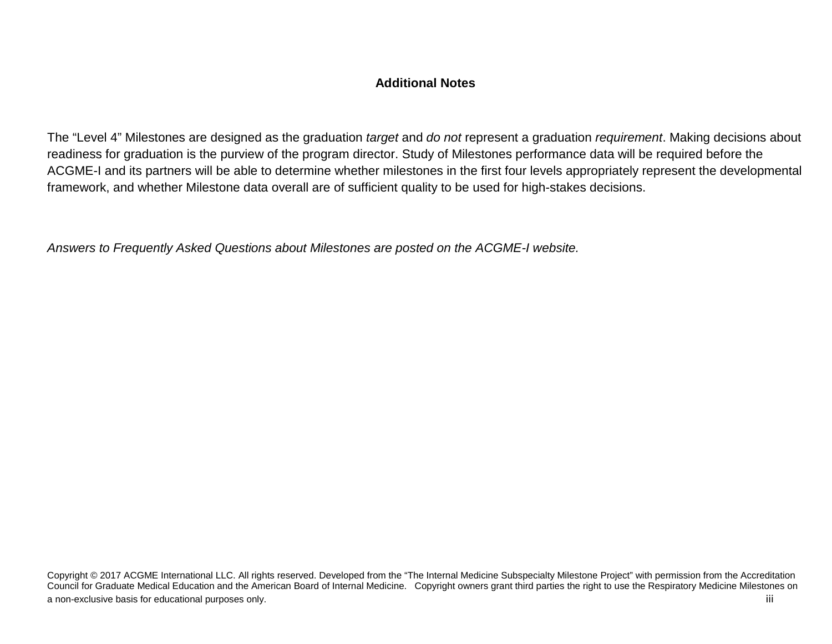## **Additional Notes**

The "Level 4" Milestones are designed as the graduation *target* and *do not* represent a graduation *requirement*. Making decisions about readiness for graduation is the purview of the program director. Study of Milestones performance data will be required before the ACGME-I and its partners will be able to determine whether milestones in the first four levels appropriately represent the developmental framework, and whether Milestone data overall are of sufficient quality to be used for high-stakes decisions.

*Answers to Frequently Asked Questions about Milestones are posted on the ACGME-I website.*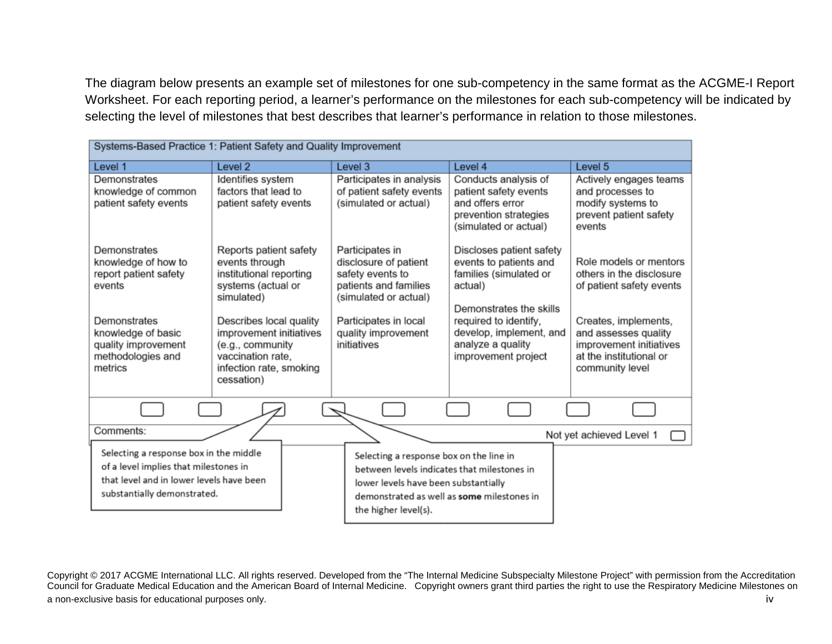The diagram below presents an example set of milestones for one sub-competency in the same format as the ACGME-I Report Worksheet. For each reporting period, a learner's performance on the milestones for each sub-competency will be indicated by selecting the level of milestones that best describes that learner's performance in relation to those milestones.

| Systems-Based Practice 1: Patient Safety and Quality Improvement                                                                                           |                                                                                                                                      |                                                                                                                                                                                                      |                                                                                                                     |                                                                                                                       |
|------------------------------------------------------------------------------------------------------------------------------------------------------------|--------------------------------------------------------------------------------------------------------------------------------------|------------------------------------------------------------------------------------------------------------------------------------------------------------------------------------------------------|---------------------------------------------------------------------------------------------------------------------|-----------------------------------------------------------------------------------------------------------------------|
| Level 1                                                                                                                                                    | Level <sub>2</sub>                                                                                                                   | Level 3                                                                                                                                                                                              | Level 4                                                                                                             | Level 5                                                                                                               |
| Demonstrates<br>knowledge of common<br>patient safety events                                                                                               | Identifies system<br>factors that lead to<br>patient safety events                                                                   | Participates in analysis<br>of patient safety events<br>(simulated or actual)                                                                                                                        | Conducts analysis of<br>patient safety events<br>and offers error<br>prevention strategies<br>(simulated or actual) | Actively engages teams<br>and processes to<br>modify systems to<br>prevent patient safety<br>events                   |
| Demonstrates<br>knowledge of how to<br>report patient safety<br>events                                                                                     | Reports patient safety<br>events through<br>institutional reporting<br>systems (actual or<br>simulated)                              | Participates in<br>disclosure of patient<br>safety events to<br>patients and families<br>(simulated or actual)                                                                                       | Discloses patient safety<br>events to patients and<br>families (simulated or<br>actual)<br>Demonstrates the skills  | Role models or mentors<br>others in the disclosure<br>of patient safety events                                        |
| Demonstrates<br>knowledge of basic<br>quality improvement<br>methodologies and<br>metrics                                                                  | Describes local quality<br>improvement initiatives<br>(e.g., community<br>vaccination rate.<br>infection rate, smoking<br>cessation) | Participates in local<br>quality improvement<br>initiatives                                                                                                                                          | required to identify,<br>develop, implement, and<br>analyze a quality<br>improvement project                        | Creates, implements,<br>and assesses quality<br>improvement initiatives<br>at the institutional or<br>community level |
|                                                                                                                                                            |                                                                                                                                      |                                                                                                                                                                                                      |                                                                                                                     |                                                                                                                       |
| Comments:                                                                                                                                                  |                                                                                                                                      |                                                                                                                                                                                                      |                                                                                                                     | Not yet achieved Level 1                                                                                              |
| Selecting a response box in the middle<br>of a level implies that milestones in<br>that level and in lower levels have been<br>substantially demonstrated. |                                                                                                                                      | Selecting a response box on the line in<br>between levels indicates that milestones in<br>lower levels have been substantially<br>demonstrated as well as some milestones in<br>the higher level(s). |                                                                                                                     |                                                                                                                       |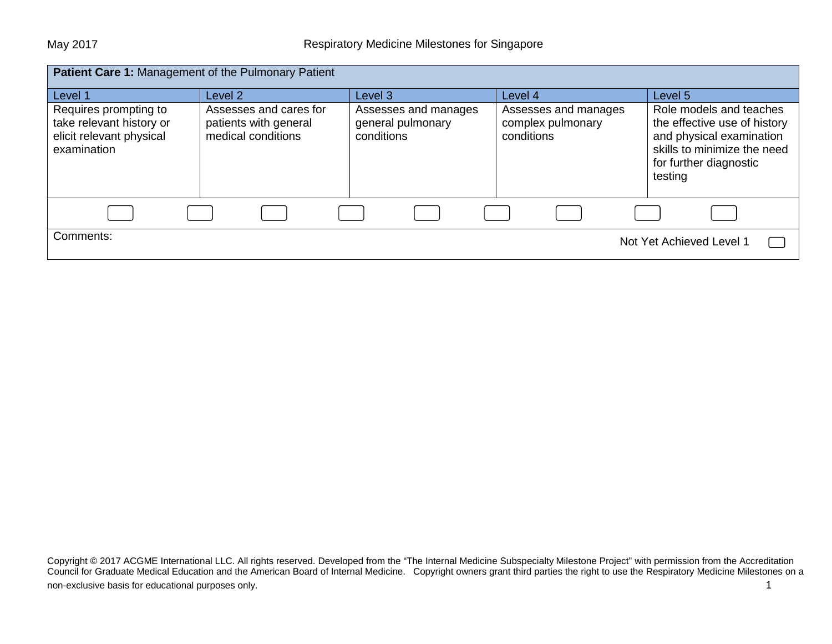| <b>Patient Care 1: Management of the Pulmonary Patient</b>                                   |                                                                       |                                                         |                                                         |                                                                                                                                                         |
|----------------------------------------------------------------------------------------------|-----------------------------------------------------------------------|---------------------------------------------------------|---------------------------------------------------------|---------------------------------------------------------------------------------------------------------------------------------------------------------|
| Level 1                                                                                      | Level 2                                                               | Level 3                                                 | Level 4                                                 | Level 5                                                                                                                                                 |
| Requires prompting to<br>take relevant history or<br>elicit relevant physical<br>examination | Assesses and cares for<br>patients with general<br>medical conditions | Assesses and manages<br>general pulmonary<br>conditions | Assesses and manages<br>complex pulmonary<br>conditions | Role models and teaches<br>the effective use of history<br>and physical examination<br>skills to minimize the need<br>for further diagnostic<br>testing |
|                                                                                              |                                                                       |                                                         |                                                         |                                                                                                                                                         |
| Comments:                                                                                    |                                                                       |                                                         |                                                         | Not Yet Achieved Level 1                                                                                                                                |

Copyright © 2017 ACGME International LLC. All rights reserved. Developed from the "The Internal Medicine Subspecialty Milestone Project" with permission from the Accreditation Council for Graduate Medical Education and the American Board of Internal Medicine. Copyright owners grant third parties the right to use the Respiratory Medicine Milestones on a non-exclusive basis for educational purposes only. The state of the state of the state of the state of the state of the state of the state of the state of the state of the state of the state of the state of the state of th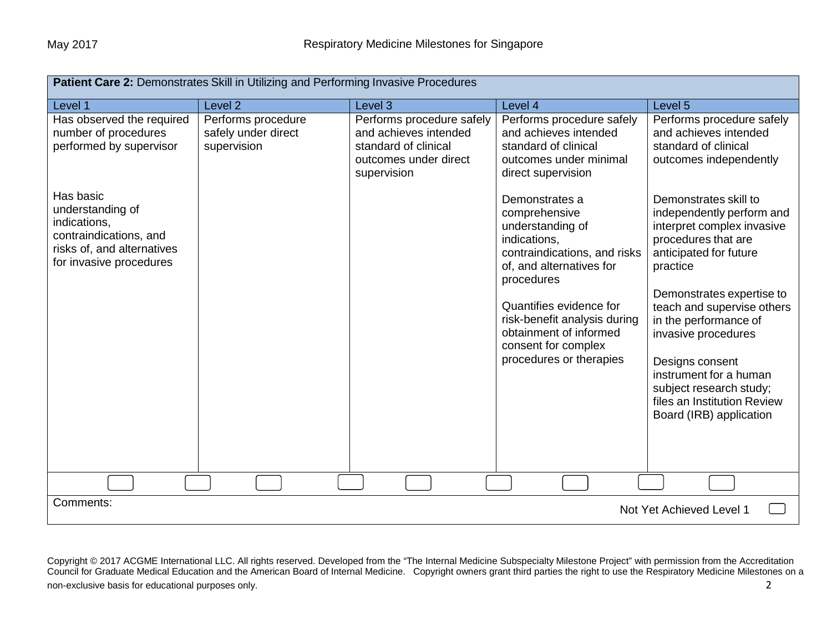| Patient Care 2: Demonstrates Skill in Utilizing and Performing Invasive Procedures                                               |                                                          |                                                                                                                    |                                                                                                                                                                                                                                                                                      |                                                                                                                                                                                                                                                                                                                                                                                            |
|----------------------------------------------------------------------------------------------------------------------------------|----------------------------------------------------------|--------------------------------------------------------------------------------------------------------------------|--------------------------------------------------------------------------------------------------------------------------------------------------------------------------------------------------------------------------------------------------------------------------------------|--------------------------------------------------------------------------------------------------------------------------------------------------------------------------------------------------------------------------------------------------------------------------------------------------------------------------------------------------------------------------------------------|
| Level 1                                                                                                                          | Level <sub>2</sub>                                       | Level 3                                                                                                            | Level 4                                                                                                                                                                                                                                                                              | Level 5                                                                                                                                                                                                                                                                                                                                                                                    |
| Has observed the required<br>number of procedures<br>performed by supervisor                                                     | Performs procedure<br>safely under direct<br>supervision | Performs procedure safely<br>and achieves intended<br>standard of clinical<br>outcomes under direct<br>supervision | Performs procedure safely<br>and achieves intended<br>standard of clinical<br>outcomes under minimal<br>direct supervision                                                                                                                                                           | Performs procedure safely<br>and achieves intended<br>standard of clinical<br>outcomes independently                                                                                                                                                                                                                                                                                       |
| Has basic<br>understanding of<br>indications,<br>contraindications, and<br>risks of, and alternatives<br>for invasive procedures |                                                          |                                                                                                                    | Demonstrates a<br>comprehensive<br>understanding of<br>indications,<br>contraindications, and risks<br>of, and alternatives for<br>procedures<br>Quantifies evidence for<br>risk-benefit analysis during<br>obtainment of informed<br>consent for complex<br>procedures or therapies | Demonstrates skill to<br>independently perform and<br>interpret complex invasive<br>procedures that are<br>anticipated for future<br>practice<br>Demonstrates expertise to<br>teach and supervise others<br>in the performance of<br>invasive procedures<br>Designs consent<br>instrument for a human<br>subject research study;<br>files an Institution Review<br>Board (IRB) application |
|                                                                                                                                  |                                                          |                                                                                                                    |                                                                                                                                                                                                                                                                                      |                                                                                                                                                                                                                                                                                                                                                                                            |
| Comments:<br>Not Yet Achieved Level 1                                                                                            |                                                          |                                                                                                                    |                                                                                                                                                                                                                                                                                      |                                                                                                                                                                                                                                                                                                                                                                                            |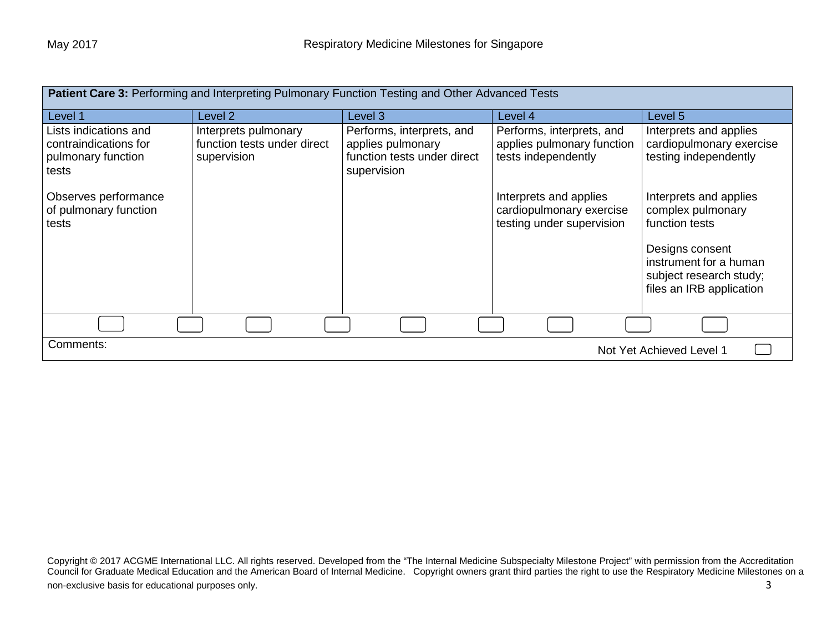| <b>Patient Care 3: Performing and Interpreting Pulmonary Function Testing and Other Advanced Tests</b> |                                                                    |                                                                                              |                                                                                 |                                                                                                  |
|--------------------------------------------------------------------------------------------------------|--------------------------------------------------------------------|----------------------------------------------------------------------------------------------|---------------------------------------------------------------------------------|--------------------------------------------------------------------------------------------------|
| Level 1                                                                                                | Level 2                                                            | Level 3                                                                                      | Level 4                                                                         | Level 5                                                                                          |
| Lists indications and<br>contraindications for<br>pulmonary function<br>tests                          | Interprets pulmonary<br>function tests under direct<br>supervision | Performs, interprets, and<br>applies pulmonary<br>function tests under direct<br>supervision | Performs, interprets, and<br>applies pulmonary function<br>tests independently  | Interprets and applies<br>cardiopulmonary exercise<br>testing independently                      |
| Observes performance<br>of pulmonary function<br>tests                                                 |                                                                    |                                                                                              | Interprets and applies<br>cardiopulmonary exercise<br>testing under supervision | Interprets and applies<br>complex pulmonary<br>function tests                                    |
|                                                                                                        |                                                                    |                                                                                              |                                                                                 | Designs consent<br>instrument for a human<br>subject research study;<br>files an IRB application |
|                                                                                                        |                                                                    |                                                                                              |                                                                                 |                                                                                                  |
| Comments:<br>Not Yet Achieved Level 1                                                                  |                                                                    |                                                                                              |                                                                                 |                                                                                                  |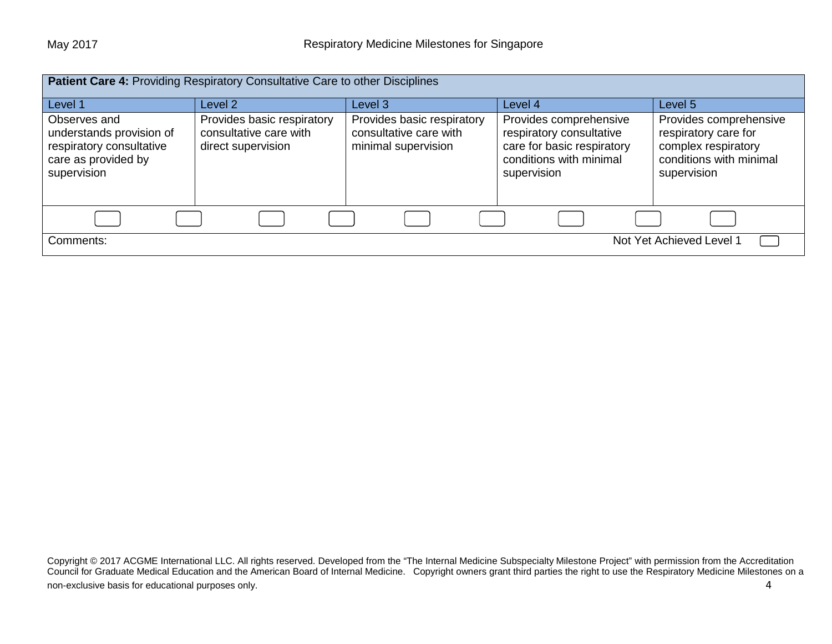| Patient Care 4: Providing Respiratory Consultative Care to other Disciplines                               |                                                                            |                                                                             |                                                                                                                            |                                                                                                                 |
|------------------------------------------------------------------------------------------------------------|----------------------------------------------------------------------------|-----------------------------------------------------------------------------|----------------------------------------------------------------------------------------------------------------------------|-----------------------------------------------------------------------------------------------------------------|
| Level 1                                                                                                    | Level 2                                                                    | Level 3                                                                     | Level 4                                                                                                                    | Level 5                                                                                                         |
| Observes and<br>understands provision of<br>respiratory consultative<br>care as provided by<br>supervision | Provides basic respiratory<br>consultative care with<br>direct supervision | Provides basic respiratory<br>consultative care with<br>minimal supervision | Provides comprehensive<br>respiratory consultative<br>care for basic respiratory<br>conditions with minimal<br>supervision | Provides comprehensive<br>respiratory care for<br>complex respiratory<br>conditions with minimal<br>supervision |
|                                                                                                            |                                                                            |                                                                             |                                                                                                                            |                                                                                                                 |
| Not Yet Achieved Level 1<br>Comments:                                                                      |                                                                            |                                                                             |                                                                                                                            |                                                                                                                 |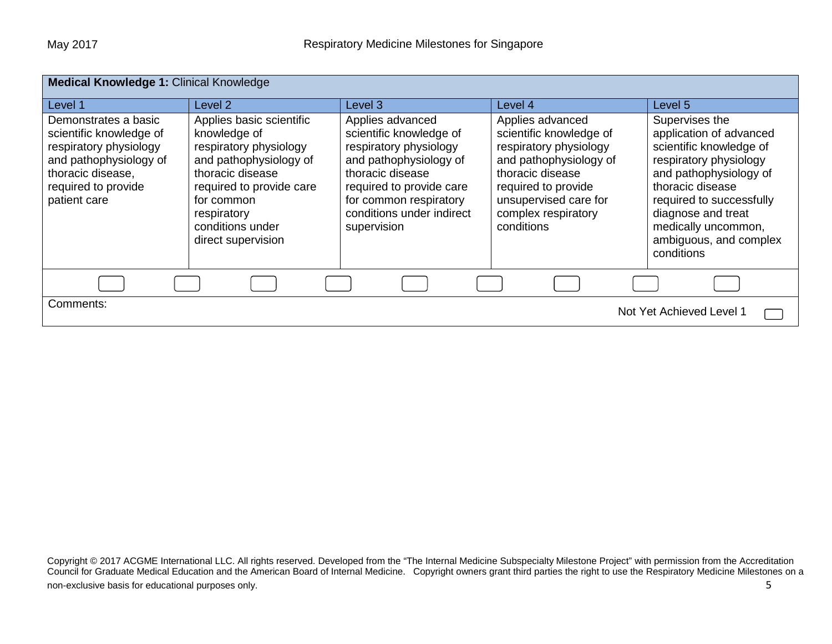| <b>Medical Knowledge 1: Clinical Knowledge</b>                                                                                                                  |                                                                                                                                                                                                                     |                                                                                                                                                                                                                       |                                                                                                                                                                                                          |                                                                                                                                                                                                                                                               |
|-----------------------------------------------------------------------------------------------------------------------------------------------------------------|---------------------------------------------------------------------------------------------------------------------------------------------------------------------------------------------------------------------|-----------------------------------------------------------------------------------------------------------------------------------------------------------------------------------------------------------------------|----------------------------------------------------------------------------------------------------------------------------------------------------------------------------------------------------------|---------------------------------------------------------------------------------------------------------------------------------------------------------------------------------------------------------------------------------------------------------------|
| Level 1                                                                                                                                                         | Level 2                                                                                                                                                                                                             | Level 3                                                                                                                                                                                                               | Level 4                                                                                                                                                                                                  | Level 5                                                                                                                                                                                                                                                       |
| Demonstrates a basic<br>scientific knowledge of<br>respiratory physiology<br>and pathophysiology of<br>thoracic disease,<br>required to provide<br>patient care | Applies basic scientific<br>knowledge of<br>respiratory physiology<br>and pathophysiology of<br>thoracic disease<br>required to provide care<br>for common<br>respiratory<br>conditions under<br>direct supervision | Applies advanced<br>scientific knowledge of<br>respiratory physiology<br>and pathophysiology of<br>thoracic disease<br>required to provide care<br>for common respiratory<br>conditions under indirect<br>supervision | Applies advanced<br>scientific knowledge of<br>respiratory physiology<br>and pathophysiology of<br>thoracic disease<br>required to provide<br>unsupervised care for<br>complex respiratory<br>conditions | Supervises the<br>application of advanced<br>scientific knowledge of<br>respiratory physiology<br>and pathophysiology of<br>thoracic disease<br>required to successfully<br>diagnose and treat<br>medically uncommon,<br>ambiguous, and complex<br>conditions |
|                                                                                                                                                                 |                                                                                                                                                                                                                     |                                                                                                                                                                                                                       |                                                                                                                                                                                                          |                                                                                                                                                                                                                                                               |
| Comments:<br>Not Yet Achieved Level 1                                                                                                                           |                                                                                                                                                                                                                     |                                                                                                                                                                                                                       |                                                                                                                                                                                                          |                                                                                                                                                                                                                                                               |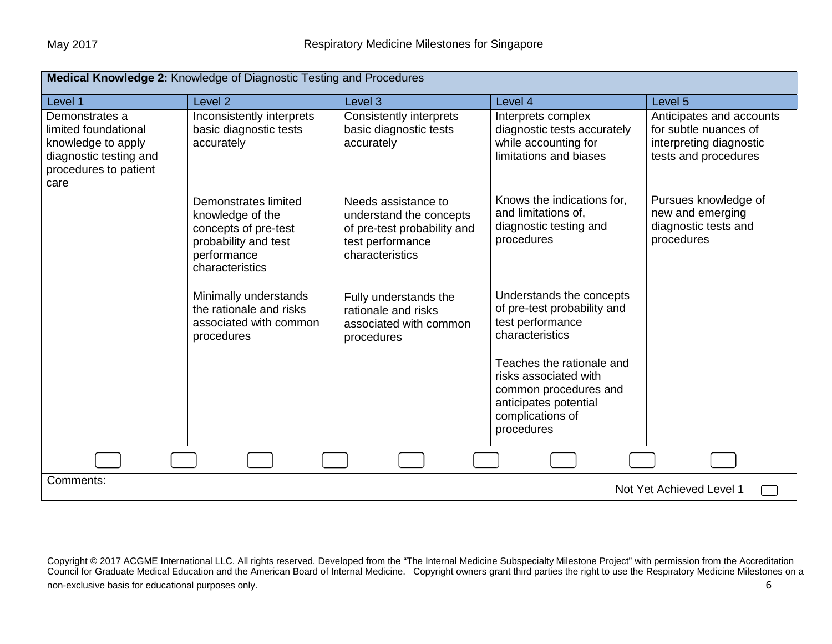| Medical Knowledge 2: Knowledge of Diagnostic Testing and Procedures                                                     |                                                                                                                            |                                                                                                                      |                                                                                                                                                      |                                                                                                      |
|-------------------------------------------------------------------------------------------------------------------------|----------------------------------------------------------------------------------------------------------------------------|----------------------------------------------------------------------------------------------------------------------|------------------------------------------------------------------------------------------------------------------------------------------------------|------------------------------------------------------------------------------------------------------|
| Level 1                                                                                                                 | Level <sub>2</sub>                                                                                                         | Level <sub>3</sub>                                                                                                   | Level 4                                                                                                                                              | Level <sub>5</sub>                                                                                   |
| Demonstrates a<br>limited foundational<br>knowledge to apply<br>diagnostic testing and<br>procedures to patient<br>care | Inconsistently interprets<br>basic diagnostic tests<br>accurately                                                          | <b>Consistently interprets</b><br>basic diagnostic tests<br>accurately                                               | Interprets complex<br>diagnostic tests accurately<br>while accounting for<br>limitations and biases                                                  | Anticipates and accounts<br>for subtle nuances of<br>interpreting diagnostic<br>tests and procedures |
|                                                                                                                         | Demonstrates limited<br>knowledge of the<br>concepts of pre-test<br>probability and test<br>performance<br>characteristics | Needs assistance to<br>understand the concepts<br>of pre-test probability and<br>test performance<br>characteristics | Knows the indications for,<br>and limitations of,<br>diagnostic testing and<br>procedures                                                            | Pursues knowledge of<br>new and emerging<br>diagnostic tests and<br>procedures                       |
|                                                                                                                         | Minimally understands<br>the rationale and risks<br>associated with common<br>procedures                                   | Fully understands the<br>rationale and risks<br>associated with common<br>procedures                                 | Understands the concepts<br>of pre-test probability and<br>test performance<br>characteristics<br>Teaches the rationale and<br>risks associated with |                                                                                                      |
|                                                                                                                         |                                                                                                                            |                                                                                                                      | common procedures and<br>anticipates potential<br>complications of<br>procedures                                                                     |                                                                                                      |
|                                                                                                                         |                                                                                                                            |                                                                                                                      |                                                                                                                                                      |                                                                                                      |
| Comments:<br>Not Yet Achieved Level 1                                                                                   |                                                                                                                            |                                                                                                                      |                                                                                                                                                      |                                                                                                      |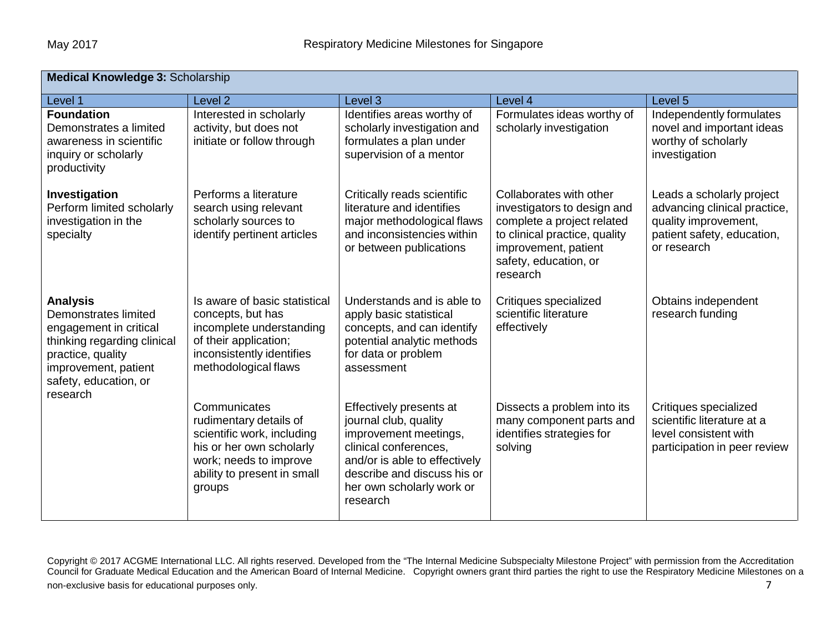| <b>Medical Knowledge 3: Scholarship</b>                                                                                                                                            |                                                                                                                                                                     |                                                                                                                                                                                                             |                                                                                                                                                                                    |                                                                                                                                |
|------------------------------------------------------------------------------------------------------------------------------------------------------------------------------------|---------------------------------------------------------------------------------------------------------------------------------------------------------------------|-------------------------------------------------------------------------------------------------------------------------------------------------------------------------------------------------------------|------------------------------------------------------------------------------------------------------------------------------------------------------------------------------------|--------------------------------------------------------------------------------------------------------------------------------|
| Level 1                                                                                                                                                                            | Level <sub>2</sub>                                                                                                                                                  | Level <sub>3</sub>                                                                                                                                                                                          | Level 4                                                                                                                                                                            | Level 5                                                                                                                        |
| <b>Foundation</b><br>Demonstrates a limited<br>awareness in scientific<br>inquiry or scholarly<br>productivity                                                                     | Interested in scholarly<br>activity, but does not<br>initiate or follow through                                                                                     | Identifies areas worthy of<br>scholarly investigation and<br>formulates a plan under<br>supervision of a mentor                                                                                             | Formulates ideas worthy of<br>scholarly investigation                                                                                                                              | Independently formulates<br>novel and important ideas<br>worthy of scholarly<br>investigation                                  |
| Investigation<br>Perform limited scholarly<br>investigation in the<br>specialty                                                                                                    | Performs a literature<br>search using relevant<br>scholarly sources to<br>identify pertinent articles                                                               | Critically reads scientific<br>literature and identifies<br>major methodological flaws<br>and inconsistencies within<br>or between publications                                                             | Collaborates with other<br>investigators to design and<br>complete a project related<br>to clinical practice, quality<br>improvement, patient<br>safety, education, or<br>research | Leads a scholarly project<br>advancing clinical practice,<br>quality improvement,<br>patient safety, education,<br>or research |
| <b>Analysis</b><br>Demonstrates limited<br>engagement in critical<br>thinking regarding clinical<br>practice, quality<br>improvement, patient<br>safety, education, or<br>research | Is aware of basic statistical<br>concepts, but has<br>incomplete understanding<br>of their application;<br>inconsistently identifies<br>methodological flaws        | Understands and is able to<br>apply basic statistical<br>concepts, and can identify<br>potential analytic methods<br>for data or problem<br>assessment                                                      | Critiques specialized<br>scientific literature<br>effectively                                                                                                                      | Obtains independent<br>research funding                                                                                        |
|                                                                                                                                                                                    | Communicates<br>rudimentary details of<br>scientific work, including<br>his or her own scholarly<br>work; needs to improve<br>ability to present in small<br>groups | Effectively presents at<br>journal club, quality<br>improvement meetings,<br>clinical conferences,<br>and/or is able to effectively<br>describe and discuss his or<br>her own scholarly work or<br>research | Dissects a problem into its<br>many component parts and<br>identifies strategies for<br>solving                                                                                    | Critiques specialized<br>scientific literature at a<br>level consistent with<br>participation in peer review                   |

Copyright © 2017 ACGME International LLC. All rights reserved. Developed from the "The Internal Medicine Subspecialty Milestone Project" with permission from the Accreditation Council for Graduate Medical Education and the American Board of Internal Medicine. Copyright owners grant third parties the right to use the Respiratory Medicine Milestones on a non-exclusive basis for educational purposes only. The matrix of the state of the state of the state of the state of the state of the state of the state of the state of the state of the state of the state of the state of t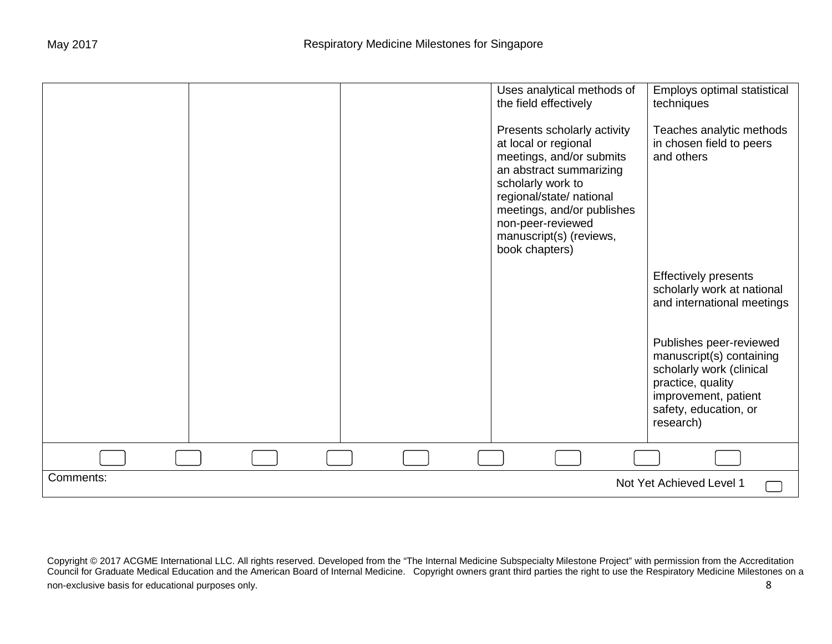|           |  | Uses analytical methods of<br>the field effectively                                                                                                                                                                                                         | Employs optimal statistical<br>techniques                                                                                                                          |
|-----------|--|-------------------------------------------------------------------------------------------------------------------------------------------------------------------------------------------------------------------------------------------------------------|--------------------------------------------------------------------------------------------------------------------------------------------------------------------|
|           |  | Presents scholarly activity<br>at local or regional<br>meetings, and/or submits<br>an abstract summarizing<br>scholarly work to<br>regional/state/ national<br>meetings, and/or publishes<br>non-peer-reviewed<br>manuscript(s) (reviews,<br>book chapters) | Teaches analytic methods<br>in chosen field to peers<br>and others                                                                                                 |
|           |  |                                                                                                                                                                                                                                                             | <b>Effectively presents</b><br>scholarly work at national<br>and international meetings                                                                            |
|           |  |                                                                                                                                                                                                                                                             | Publishes peer-reviewed<br>manuscript(s) containing<br>scholarly work (clinical<br>practice, quality<br>improvement, patient<br>safety, education, or<br>research) |
|           |  |                                                                                                                                                                                                                                                             |                                                                                                                                                                    |
| Comments: |  |                                                                                                                                                                                                                                                             | Not Yet Achieved Level 1                                                                                                                                           |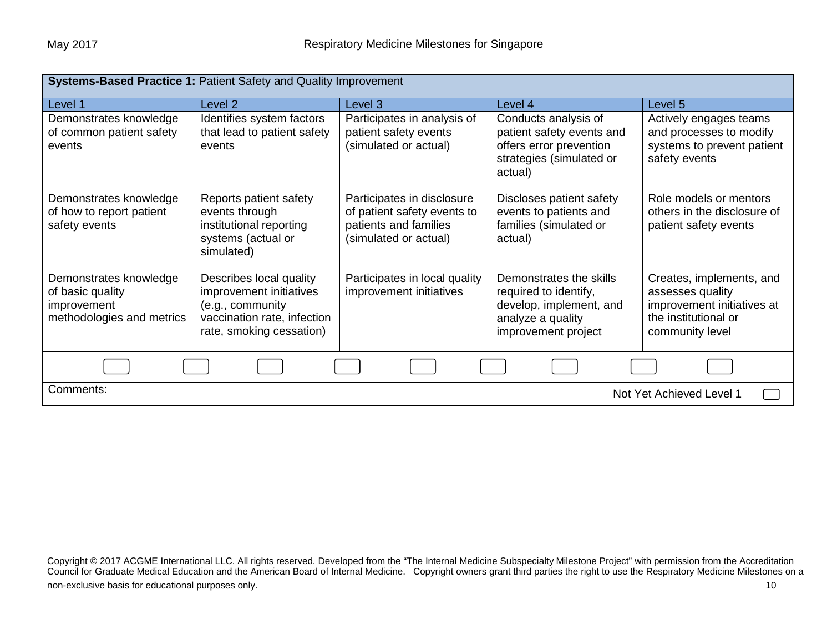| Systems-Based Practice 1: Patient Safety and Quality Improvement                       |                                                                                                                                   |                                                                                                             |                                                                                                                         |                                                                                                                       |
|----------------------------------------------------------------------------------------|-----------------------------------------------------------------------------------------------------------------------------------|-------------------------------------------------------------------------------------------------------------|-------------------------------------------------------------------------------------------------------------------------|-----------------------------------------------------------------------------------------------------------------------|
| Level 1                                                                                | Level 2                                                                                                                           | Level 3                                                                                                     | Level 4                                                                                                                 | Level 5                                                                                                               |
| Demonstrates knowledge<br>of common patient safety<br>events                           | Identifies system factors<br>that lead to patient safety<br>events                                                                | Participates in analysis of<br>patient safety events<br>(simulated or actual)                               | Conducts analysis of<br>patient safety events and<br>offers error prevention<br>strategies (simulated or<br>actual)     | Actively engages teams<br>and processes to modify<br>systems to prevent patient<br>safety events                      |
| Demonstrates knowledge<br>of how to report patient<br>safety events                    | Reports patient safety<br>events through<br>institutional reporting<br>systems (actual or<br>simulated)                           | Participates in disclosure<br>of patient safety events to<br>patients and families<br>(simulated or actual) | Discloses patient safety<br>events to patients and<br>families (simulated or<br>actual)                                 | Role models or mentors<br>others in the disclosure of<br>patient safety events                                        |
| Demonstrates knowledge<br>of basic quality<br>improvement<br>methodologies and metrics | Describes local quality<br>improvement initiatives<br>(e.g., community<br>vaccination rate, infection<br>rate, smoking cessation) | Participates in local quality<br>improvement initiatives                                                    | Demonstrates the skills<br>required to identify,<br>develop, implement, and<br>analyze a quality<br>improvement project | Creates, implements, and<br>assesses quality<br>improvement initiatives at<br>the institutional or<br>community level |
|                                                                                        |                                                                                                                                   |                                                                                                             |                                                                                                                         |                                                                                                                       |
| Comments:<br>Not Yet Achieved Level 1                                                  |                                                                                                                                   |                                                                                                             |                                                                                                                         |                                                                                                                       |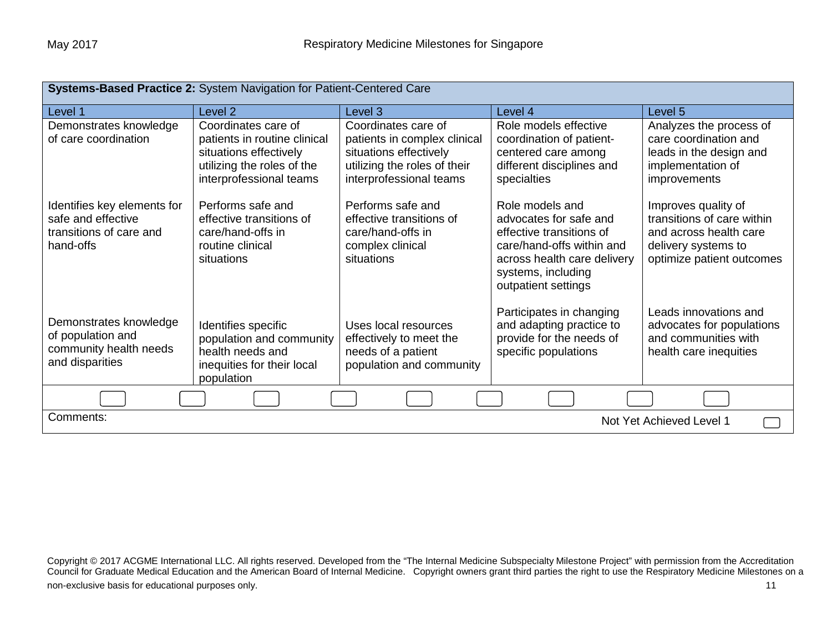| Systems-Based Practice 2: System Navigation for Patient-Centered Care                     |                                                                                                                                        |                                                                                                                                          |                                                                                                                                                                                |                                                                                                                                 |
|-------------------------------------------------------------------------------------------|----------------------------------------------------------------------------------------------------------------------------------------|------------------------------------------------------------------------------------------------------------------------------------------|--------------------------------------------------------------------------------------------------------------------------------------------------------------------------------|---------------------------------------------------------------------------------------------------------------------------------|
| Level 1                                                                                   | Level 2                                                                                                                                | Level 3                                                                                                                                  | Level 4                                                                                                                                                                        | Level 5                                                                                                                         |
| Demonstrates knowledge<br>of care coordination                                            | Coordinates care of<br>patients in routine clinical<br>situations effectively<br>utilizing the roles of the<br>interprofessional teams | Coordinates care of<br>patients in complex clinical<br>situations effectively<br>utilizing the roles of their<br>interprofessional teams | Role models effective<br>coordination of patient-<br>centered care among<br>different disciplines and<br>specialties                                                           | Analyzes the process of<br>care coordination and<br>leads in the design and<br>implementation of<br>improvements                |
| Identifies key elements for<br>safe and effective<br>transitions of care and<br>hand-offs | Performs safe and<br>effective transitions of<br>care/hand-offs in<br>routine clinical<br>situations                                   | Performs safe and<br>effective transitions of<br>care/hand-offs in<br>complex clinical<br>situations                                     | Role models and<br>advocates for safe and<br>effective transitions of<br>care/hand-offs within and<br>across health care delivery<br>systems, including<br>outpatient settings | Improves quality of<br>transitions of care within<br>and across health care<br>delivery systems to<br>optimize patient outcomes |
| Demonstrates knowledge<br>of population and<br>community health needs<br>and disparities  | Identifies specific<br>population and community<br>health needs and<br>inequities for their local<br>population                        | Uses local resources<br>effectively to meet the<br>needs of a patient<br>population and community                                        | Participates in changing<br>and adapting practice to<br>provide for the needs of<br>specific populations                                                                       | Leads innovations and<br>advocates for populations<br>and communities with<br>health care inequities                            |
|                                                                                           |                                                                                                                                        |                                                                                                                                          |                                                                                                                                                                                |                                                                                                                                 |
| Comments:<br>Not Yet Achieved Level 1                                                     |                                                                                                                                        |                                                                                                                                          |                                                                                                                                                                                |                                                                                                                                 |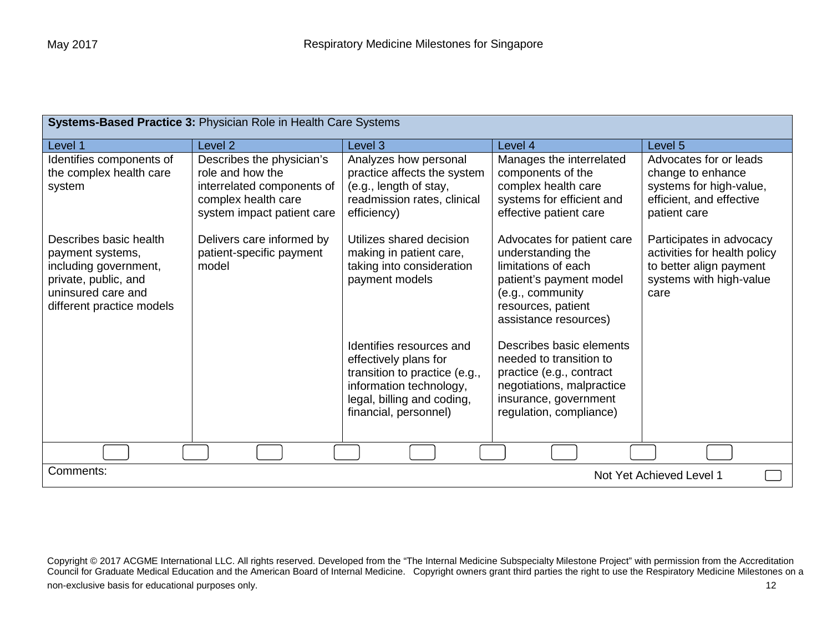| Systems-Based Practice 3: Physician Role in Health Care Systems                                                                                |                                                                                                                                  |                                                                                                                                                         |                                                                                                                                                                                                                             |                                                                                                                        |
|------------------------------------------------------------------------------------------------------------------------------------------------|----------------------------------------------------------------------------------------------------------------------------------|---------------------------------------------------------------------------------------------------------------------------------------------------------|-----------------------------------------------------------------------------------------------------------------------------------------------------------------------------------------------------------------------------|------------------------------------------------------------------------------------------------------------------------|
| Level 1                                                                                                                                        | Level <sub>2</sub>                                                                                                               | Level <sub>3</sub>                                                                                                                                      | Level 4                                                                                                                                                                                                                     | Level 5                                                                                                                |
| Identifies components of<br>the complex health care<br>system                                                                                  | Describes the physician's<br>role and how the<br>interrelated components of<br>complex health care<br>system impact patient care | Analyzes how personal<br>practice affects the system<br>(e.g., length of stay,<br>readmission rates, clinical<br>efficiency)                            | Manages the interrelated<br>components of the<br>complex health care<br>systems for efficient and<br>effective patient care                                                                                                 | Advocates for or leads<br>change to enhance<br>systems for high-value,<br>efficient, and effective<br>patient care     |
| Describes basic health<br>payment systems,<br>including government,<br>private, public, and<br>uninsured care and<br>different practice models | Delivers care informed by<br>patient-specific payment<br>model                                                                   | Utilizes shared decision<br>making in patient care,<br>taking into consideration<br>payment models<br>Identifies resources and<br>effectively plans for | Advocates for patient care<br>understanding the<br>limitations of each<br>patient's payment model<br>(e.g., community<br>resources, patient<br>assistance resources)<br>Describes basic elements<br>needed to transition to | Participates in advocacy<br>activities for health policy<br>to better align payment<br>systems with high-value<br>care |
|                                                                                                                                                |                                                                                                                                  | transition to practice (e.g.,<br>information technology,<br>legal, billing and coding,<br>financial, personnel)                                         | practice (e.g., contract<br>negotiations, malpractice<br>insurance, government<br>regulation, compliance)                                                                                                                   |                                                                                                                        |
|                                                                                                                                                |                                                                                                                                  |                                                                                                                                                         |                                                                                                                                                                                                                             |                                                                                                                        |
| Comments:<br>Not Yet Achieved Level 1                                                                                                          |                                                                                                                                  |                                                                                                                                                         |                                                                                                                                                                                                                             |                                                                                                                        |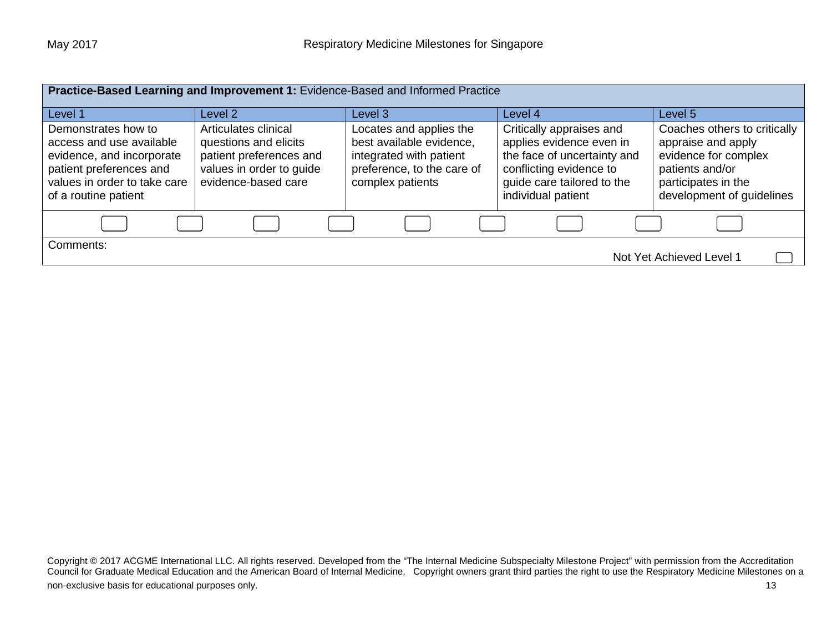| Practice-Based Learning and Improvement 1: Evidence-Based and Informed Practice                                                                                 |                                                                                                                             |                                                                                                                                  |                                                                                                                                                                    |                                                                                                                                                   |  |
|-----------------------------------------------------------------------------------------------------------------------------------------------------------------|-----------------------------------------------------------------------------------------------------------------------------|----------------------------------------------------------------------------------------------------------------------------------|--------------------------------------------------------------------------------------------------------------------------------------------------------------------|---------------------------------------------------------------------------------------------------------------------------------------------------|--|
| Level 1                                                                                                                                                         | Level 2                                                                                                                     | Level 3                                                                                                                          | Level 4                                                                                                                                                            | Level 5                                                                                                                                           |  |
| Demonstrates how to<br>access and use available<br>evidence, and incorporate<br>patient preferences and<br>values in order to take care<br>of a routine patient | Articulates clinical<br>questions and elicits<br>patient preferences and<br>values in order to guide<br>evidence-based care | Locates and applies the<br>best available evidence,<br>integrated with patient<br>preference, to the care of<br>complex patients | Critically appraises and<br>applies evidence even in<br>the face of uncertainty and<br>conflicting evidence to<br>guide care tailored to the<br>individual patient | Coaches others to critically<br>appraise and apply<br>evidence for complex<br>patients and/or<br>participates in the<br>development of guidelines |  |
|                                                                                                                                                                 |                                                                                                                             |                                                                                                                                  |                                                                                                                                                                    |                                                                                                                                                   |  |
| Comments:<br>Not Yet Achieved Level 1                                                                                                                           |                                                                                                                             |                                                                                                                                  |                                                                                                                                                                    |                                                                                                                                                   |  |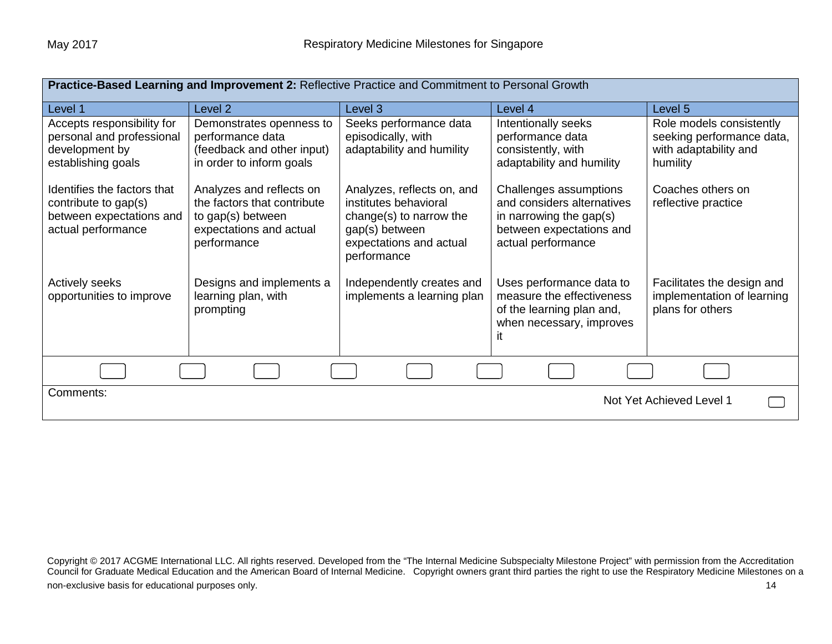| Practice-Based Learning and Improvement 2: Reflective Practice and Commitment to Personal Growth      |                                                                                                                        |                                                                                                                                            |                                                                                                                                   |                                                                                            |  |
|-------------------------------------------------------------------------------------------------------|------------------------------------------------------------------------------------------------------------------------|--------------------------------------------------------------------------------------------------------------------------------------------|-----------------------------------------------------------------------------------------------------------------------------------|--------------------------------------------------------------------------------------------|--|
| Level 1                                                                                               | Level <sub>2</sub>                                                                                                     | Level 3                                                                                                                                    | Level 4                                                                                                                           | Level 5                                                                                    |  |
| Accepts responsibility for<br>personal and professional<br>development by<br>establishing goals       | Demonstrates openness to<br>performance data<br>(feedback and other input)<br>in order to inform goals                 | Seeks performance data<br>episodically, with<br>adaptability and humility                                                                  | Intentionally seeks<br>performance data<br>consistently, with<br>adaptability and humility                                        | Role models consistently<br>seeking performance data,<br>with adaptability and<br>humility |  |
| Identifies the factors that<br>contribute to gap(s)<br>between expectations and<br>actual performance | Analyzes and reflects on<br>the factors that contribute<br>to gap(s) between<br>expectations and actual<br>performance | Analyzes, reflects on, and<br>institutes behavioral<br>change(s) to narrow the<br>gap(s) between<br>expectations and actual<br>performance | Challenges assumptions<br>and considers alternatives<br>in narrowing the gap(s)<br>between expectations and<br>actual performance | Coaches others on<br>reflective practice                                                   |  |
| <b>Actively seeks</b><br>opportunities to improve                                                     | Designs and implements a<br>learning plan, with<br>prompting                                                           | Independently creates and<br>implements a learning plan                                                                                    | Uses performance data to<br>measure the effectiveness<br>of the learning plan and,<br>when necessary, improves                    | Facilitates the design and<br>implementation of learning<br>plans for others               |  |
|                                                                                                       |                                                                                                                        |                                                                                                                                            |                                                                                                                                   |                                                                                            |  |
| Comments:<br>Not Yet Achieved Level 1                                                                 |                                                                                                                        |                                                                                                                                            |                                                                                                                                   |                                                                                            |  |

Copyright © 2017 ACGME International LLC. All rights reserved. Developed from the "The Internal Medicine Subspecialty Milestone Project" with permission from the Accreditation Council for Graduate Medical Education and the American Board of Internal Medicine. Copyright owners grant third parties the right to use the Respiratory Medicine Milestones on a non-exclusive basis for educational purposes only. The state of the state of the state of the state of the state of the state of the state of the state of the state of the state of the state of the state of the state of th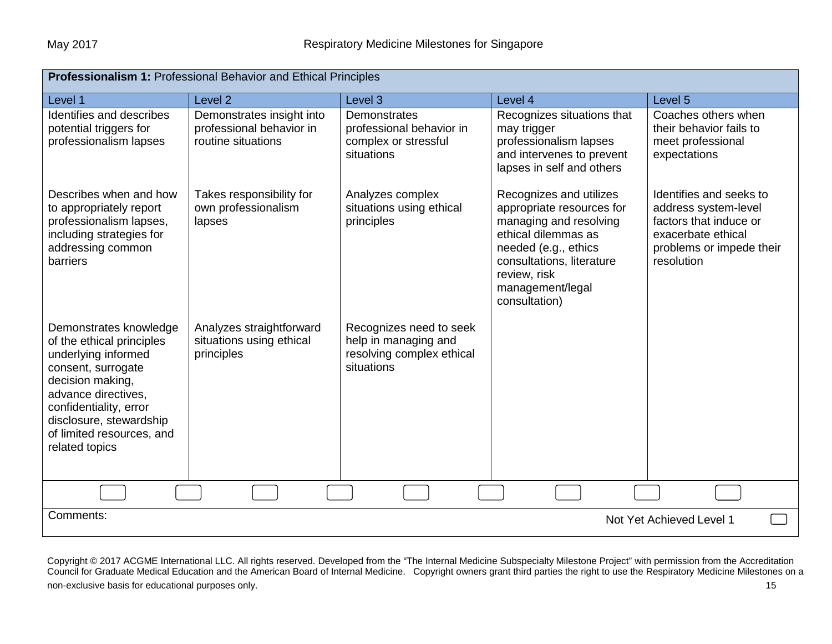| Professionalism 1: Professional Behavior and Ethical Principles                                                                                                                                                                                 |                                                                             |                                                                                            |                                                                                                                                                                                                                 |                                                                                                                                           |  |
|-------------------------------------------------------------------------------------------------------------------------------------------------------------------------------------------------------------------------------------------------|-----------------------------------------------------------------------------|--------------------------------------------------------------------------------------------|-----------------------------------------------------------------------------------------------------------------------------------------------------------------------------------------------------------------|-------------------------------------------------------------------------------------------------------------------------------------------|--|
| Level 1                                                                                                                                                                                                                                         | Level <sub>2</sub>                                                          | Level 3                                                                                    | Level 4                                                                                                                                                                                                         | Level 5                                                                                                                                   |  |
| Identifies and describes<br>potential triggers for<br>professionalism lapses                                                                                                                                                                    | Demonstrates insight into<br>professional behavior in<br>routine situations | Demonstrates<br>professional behavior in<br>complex or stressful<br>situations             | Recognizes situations that<br>may trigger<br>professionalism lapses<br>and intervenes to prevent<br>lapses in self and others                                                                                   | Coaches others when<br>their behavior fails to<br>meet professional<br>expectations                                                       |  |
| Describes when and how<br>to appropriately report<br>professionalism lapses,<br>including strategies for<br>addressing common<br><b>barriers</b>                                                                                                | Takes responsibility for<br>own professionalism<br>lapses                   | Analyzes complex<br>situations using ethical<br>principles                                 | Recognizes and utilizes<br>appropriate resources for<br>managing and resolving<br>ethical dilemmas as<br>needed (e.g., ethics<br>consultations, literature<br>review, risk<br>management/legal<br>consultation) | Identifies and seeks to<br>address system-level<br>factors that induce or<br>exacerbate ethical<br>problems or impede their<br>resolution |  |
| Demonstrates knowledge<br>of the ethical principles<br>underlying informed<br>consent, surrogate<br>decision making,<br>advance directives,<br>confidentiality, error<br>disclosure, stewardship<br>of limited resources, and<br>related topics | Analyzes straightforward<br>situations using ethical<br>principles          | Recognizes need to seek<br>help in managing and<br>resolving complex ethical<br>situations |                                                                                                                                                                                                                 |                                                                                                                                           |  |
|                                                                                                                                                                                                                                                 |                                                                             |                                                                                            |                                                                                                                                                                                                                 |                                                                                                                                           |  |
| Comments:<br>Not Yet Achieved Level 1                                                                                                                                                                                                           |                                                                             |                                                                                            |                                                                                                                                                                                                                 |                                                                                                                                           |  |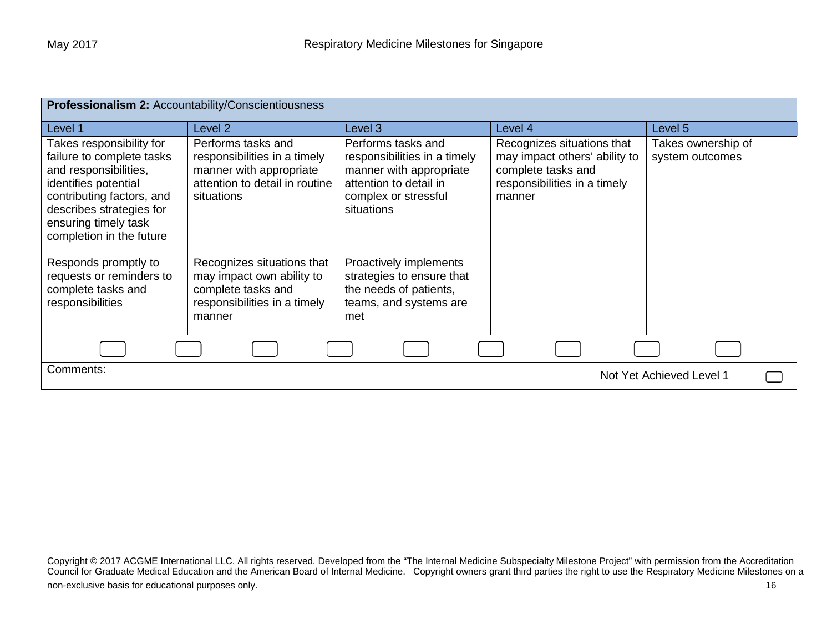| Professionalism 2: Accountability/Conscientiousness                                                                                                                                                                 |                                                                                                                               |                                                                                                                                               |                                                                                                                             |                                       |  |
|---------------------------------------------------------------------------------------------------------------------------------------------------------------------------------------------------------------------|-------------------------------------------------------------------------------------------------------------------------------|-----------------------------------------------------------------------------------------------------------------------------------------------|-----------------------------------------------------------------------------------------------------------------------------|---------------------------------------|--|
| Level 1                                                                                                                                                                                                             | Level 2                                                                                                                       | Level 3                                                                                                                                       | Level 4                                                                                                                     | Level 5                               |  |
| Takes responsibility for<br>failure to complete tasks<br>and responsibilities,<br>identifies potential<br>contributing factors, and<br>describes strategies for<br>ensuring timely task<br>completion in the future | Performs tasks and<br>responsibilities in a timely<br>manner with appropriate<br>attention to detail in routine<br>situations | Performs tasks and<br>responsibilities in a timely<br>manner with appropriate<br>attention to detail in<br>complex or stressful<br>situations | Recognizes situations that<br>may impact others' ability to<br>complete tasks and<br>responsibilities in a timely<br>manner | Takes ownership of<br>system outcomes |  |
| Responds promptly to<br>requests or reminders to<br>complete tasks and<br>responsibilities                                                                                                                          | Recognizes situations that<br>may impact own ability to<br>complete tasks and<br>responsibilities in a timely<br>manner       | Proactively implements<br>strategies to ensure that<br>the needs of patients,<br>teams, and systems are<br>met                                |                                                                                                                             |                                       |  |
|                                                                                                                                                                                                                     |                                                                                                                               |                                                                                                                                               |                                                                                                                             |                                       |  |
| Comments:<br>Not Yet Achieved Level 1                                                                                                                                                                               |                                                                                                                               |                                                                                                                                               |                                                                                                                             |                                       |  |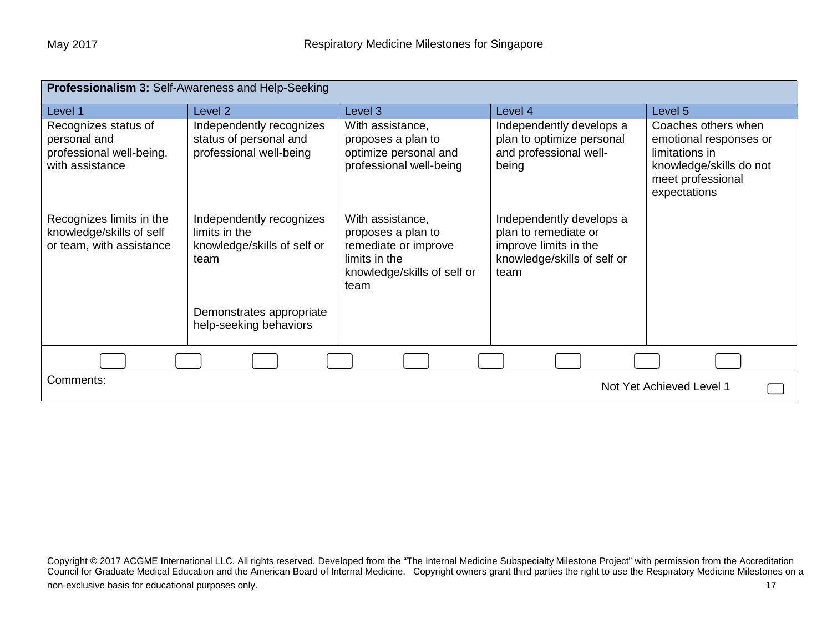| Professionalism 3: Self-Awareness and Help-Seeking                                  |                                                                                  |                                                                                                                        |                                                                                                                  |                                                                                                                                 |  |
|-------------------------------------------------------------------------------------|----------------------------------------------------------------------------------|------------------------------------------------------------------------------------------------------------------------|------------------------------------------------------------------------------------------------------------------|---------------------------------------------------------------------------------------------------------------------------------|--|
| Level 1                                                                             | Level 2                                                                          | Level 3                                                                                                                | Level 4                                                                                                          | Level 5                                                                                                                         |  |
| Recognizes status of<br>personal and<br>professional well-being,<br>with assistance | Independently recognizes<br>status of personal and<br>professional well-being    | With assistance,<br>proposes a plan to<br>optimize personal and<br>professional well-being                             | Independently develops a<br>plan to optimize personal<br>and professional well-<br>being                         | Coaches others when<br>emotional responses or<br>limitations in<br>knowledge/skills do not<br>meet professional<br>expectations |  |
| Recognizes limits in the<br>knowledge/skills of self<br>or team, with assistance    | Independently recognizes<br>limits in the<br>knowledge/skills of self or<br>team | With assistance,<br>proposes a plan to<br>remediate or improve<br>limits in the<br>knowledge/skills of self or<br>team | Independently develops a<br>plan to remediate or<br>improve limits in the<br>knowledge/skills of self or<br>team |                                                                                                                                 |  |
|                                                                                     | Demonstrates appropriate<br>help-seeking behaviors                               |                                                                                                                        |                                                                                                                  |                                                                                                                                 |  |
|                                                                                     |                                                                                  |                                                                                                                        |                                                                                                                  |                                                                                                                                 |  |
| Comments:                                                                           |                                                                                  |                                                                                                                        |                                                                                                                  | Not Yet Achieved Level 1                                                                                                        |  |

Copyright © 2017 ACGME International LLC. All rights reserved. Developed from the "The Internal Medicine Subspecialty Milestone Project" with permission from the Accreditation Council for Graduate Medical Education and the American Board of Internal Medicine. Copyright owners grant third parties the right to use the Respiratory Medicine Milestones on a non-exclusive basis for educational purposes only. The state of the state of the state of the state of the state of the state of the state of the state of the state of the state of the state of the state of the state of th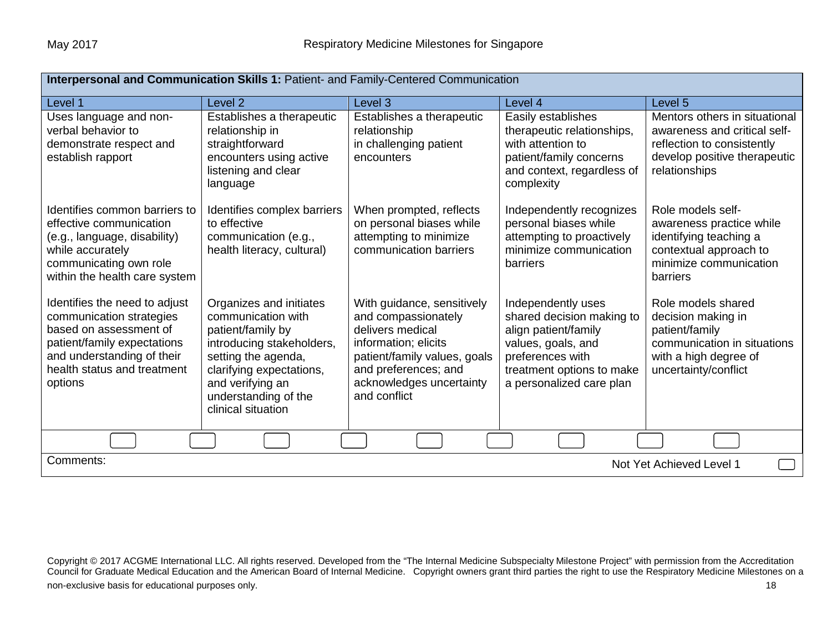| Interpersonal and Communication Skills 1: Patient- and Family-Centered Communication                                                                                                       |                                                                                                                                                                                                                      |                                                                                                                                                                                                   |                                                                                                                                                                            |                                                                                                                                              |  |
|--------------------------------------------------------------------------------------------------------------------------------------------------------------------------------------------|----------------------------------------------------------------------------------------------------------------------------------------------------------------------------------------------------------------------|---------------------------------------------------------------------------------------------------------------------------------------------------------------------------------------------------|----------------------------------------------------------------------------------------------------------------------------------------------------------------------------|----------------------------------------------------------------------------------------------------------------------------------------------|--|
| Level 1                                                                                                                                                                                    | Level <sub>2</sub>                                                                                                                                                                                                   | Level 3                                                                                                                                                                                           | Level 4                                                                                                                                                                    | Level 5                                                                                                                                      |  |
| Uses language and non-<br>verbal behavior to<br>demonstrate respect and<br>establish rapport                                                                                               | Establishes a therapeutic<br>relationship in<br>straightforward<br>encounters using active<br>listening and clear<br>language                                                                                        | Establishes a therapeutic<br>relationship<br>in challenging patient<br>encounters                                                                                                                 | Easily establishes<br>therapeutic relationships,<br>with attention to<br>patient/family concerns<br>and context, regardless of<br>complexity                               | Mentors others in situational<br>awareness and critical self-<br>reflection to consistently<br>develop positive therapeutic<br>relationships |  |
| Identifies common barriers to<br>effective communication<br>(e.g., language, disability)<br>while accurately<br>communicating own role<br>within the health care system                    | Identifies complex barriers<br>to effective<br>communication (e.g.,<br>health literacy, cultural)                                                                                                                    | When prompted, reflects<br>on personal biases while<br>attempting to minimize<br>communication barriers                                                                                           | Independently recognizes<br>personal biases while<br>attempting to proactively<br>minimize communication<br>barriers                                                       | Role models self-<br>awareness practice while<br>identifying teaching a<br>contextual approach to<br>minimize communication<br>barriers      |  |
| Identifies the need to adjust<br>communication strategies<br>based on assessment of<br>patient/family expectations<br>and understanding of their<br>health status and treatment<br>options | Organizes and initiates<br>communication with<br>patient/family by<br>introducing stakeholders,<br>setting the agenda,<br>clarifying expectations,<br>and verifying an<br>understanding of the<br>clinical situation | With guidance, sensitively<br>and compassionately<br>delivers medical<br>information; elicits<br>patient/family values, goals<br>and preferences; and<br>acknowledges uncertainty<br>and conflict | Independently uses<br>shared decision making to<br>align patient/family<br>values, goals, and<br>preferences with<br>treatment options to make<br>a personalized care plan | Role models shared<br>decision making in<br>patient/family<br>communication in situations<br>with a high degree of<br>uncertainty/conflict   |  |
|                                                                                                                                                                                            |                                                                                                                                                                                                                      |                                                                                                                                                                                                   |                                                                                                                                                                            |                                                                                                                                              |  |
| Comments:<br>Not Yet Achieved Level 1                                                                                                                                                      |                                                                                                                                                                                                                      |                                                                                                                                                                                                   |                                                                                                                                                                            |                                                                                                                                              |  |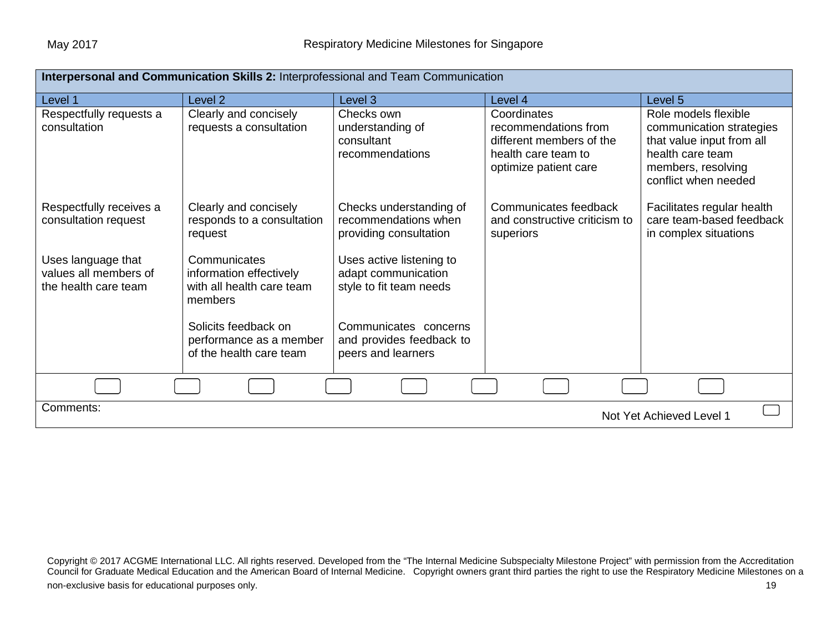| Interpersonal and Communication Skills 2: Interprofessional and Team Communication |                                                                                 |                                                                            |                                                                                                                 |                                                                                                                                                 |  |
|------------------------------------------------------------------------------------|---------------------------------------------------------------------------------|----------------------------------------------------------------------------|-----------------------------------------------------------------------------------------------------------------|-------------------------------------------------------------------------------------------------------------------------------------------------|--|
| Level 1                                                                            | Level <sub>2</sub>                                                              | Level 3                                                                    | Level 4                                                                                                         | Level 5                                                                                                                                         |  |
| Respectfully requests a<br>consultation                                            | Clearly and concisely<br>requests a consultation                                | Checks own<br>understanding of<br>consultant<br>recommendations            | Coordinates<br>recommendations from<br>different members of the<br>health care team to<br>optimize patient care | Role models flexible<br>communication strategies<br>that value input from all<br>health care team<br>members, resolving<br>conflict when needed |  |
| Respectfully receives a<br>consultation request                                    | Clearly and concisely<br>responds to a consultation<br>request                  | Checks understanding of<br>recommendations when<br>providing consultation  | Communicates feedback<br>and constructive criticism to<br>superiors                                             | Facilitates regular health<br>care team-based feedback<br>in complex situations                                                                 |  |
| Uses language that<br>values all members of<br>the health care team                | Communicates<br>information effectively<br>with all health care team<br>members | Uses active listening to<br>adapt communication<br>style to fit team needs |                                                                                                                 |                                                                                                                                                 |  |
|                                                                                    | Solicits feedback on<br>performance as a member<br>of the health care team      | Communicates concerns<br>and provides feedback to<br>peers and learners    |                                                                                                                 |                                                                                                                                                 |  |
|                                                                                    |                                                                                 |                                                                            |                                                                                                                 |                                                                                                                                                 |  |
| Comments:<br>Not Yet Achieved Level 1                                              |                                                                                 |                                                                            |                                                                                                                 |                                                                                                                                                 |  |